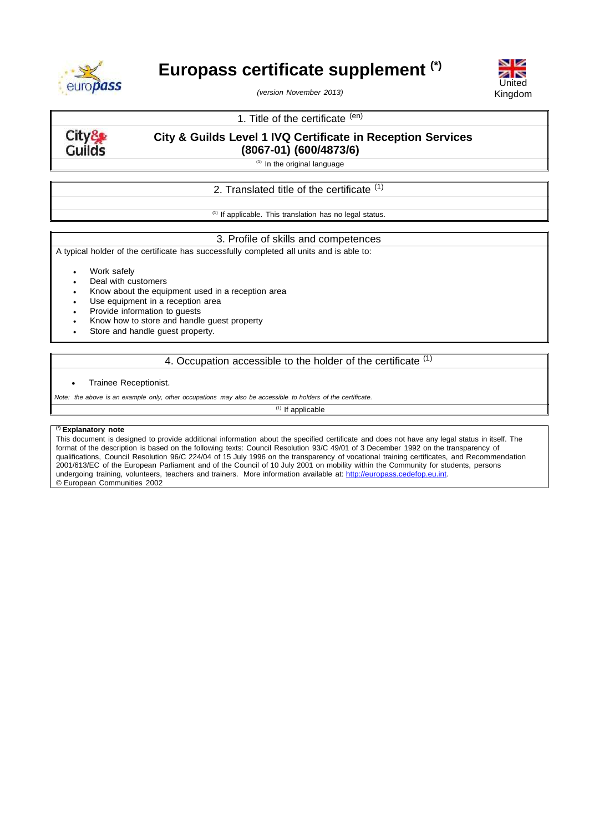

# **Europass certificate supplement (\*)**

*(version November 2013)*



# 1. Title of the certificate (en)

City& **Guilds** 

# **City & Guilds Level 1 IVQ Certificate in Reception Services**

**(8067-01) (600/4873/6)**

 $(1)$  In the original language

# 2. Translated title of the certificate <sup>(1)</sup>

 $(1)$  If applicable. This translation has no legal status.

## 3. Profile of skills and competences

A typical holder of the certificate has successfully completed all units and is able to:

Work safely

- Deal with customers
- Know about the equipment used in a reception area
- Use equipment in a reception area
- Provide information to guests
- Know how to store and handle guest property
- Store and handle guest property.

# 4. Occupation accessible to the holder of the certificate (1)

#### Trainee Receptionist.

Note: the above is an example only, other occupations may also be accessible to holders of the certificate.

 $(1)$  If applicable

### **(\*) Explanatory note**

This document is designed to provide additional information about the specified certificate and does not have any legal status in itself. The format of the description is based on the following texts: Council Resolution 93/C 49/01 of 3 December 1992 on the transparency of qualifications, Council Resolution 96/C 224/04 of 15 July 1996 on the transparency of vocational training certificates, and Recommendation 2001/613/EC of the European Parliament and of the Council of 10 July 2001 on mobility within the Community for students, persons undergoing training, volunteers, teachers and trainers. More information available at: [http://europass.cedefop.eu.int.](http://europass.cedefop.eu.int/) © European Communities 2002